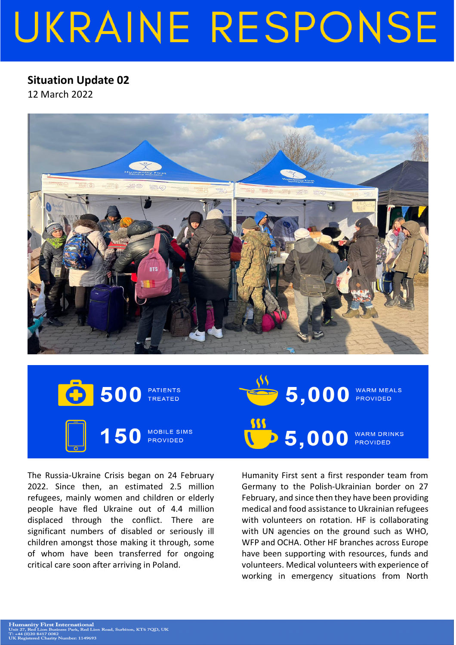## UKRAINE RESPONSE

## **Situation Update 02**

12 March 2022



500 PATIENTS<br>TREATED **MOBILE SIMS PROVIDED** 

 $\overline{1}$  5,000 WARM DRINKS<br>PROVIDED Humanity First sent a first responder team from Germany to the Polish-Ukrainian border on 27 February, and since then they have been providing medical and food assistance to Ukrainian refugees with volunteers on rotation. HF is collaborating with UN agencies on the ground such as WHO, WFP and OCHA. Other HF branches across Europe

 $\bullet$  5,000 WARM MEALS

have been supporting with resources, funds and volunteers. Medical volunteers with experience of working in emergency situations from North

The Russia-Ukraine Crisis began on 24 February 2022. Since then, an estimated 2.5 million refugees, mainly women and children or elderly people have fled Ukraine out of 4.4 million displaced through the conflict. There are significant numbers of disabled or seriously ill children amongst those making it through, some of whom have been transferred for ongoing critical care soon after arriving in Poland.

**Humanity First International**<br>Unit 27, Red Lion Business Park, Red Lion Road, Surbiton, KT6 7QD, UK 27, Red Lion Busi<br>4 (0)20 8417 0082<br>existend Charity

-<br>Mumber: 1149693